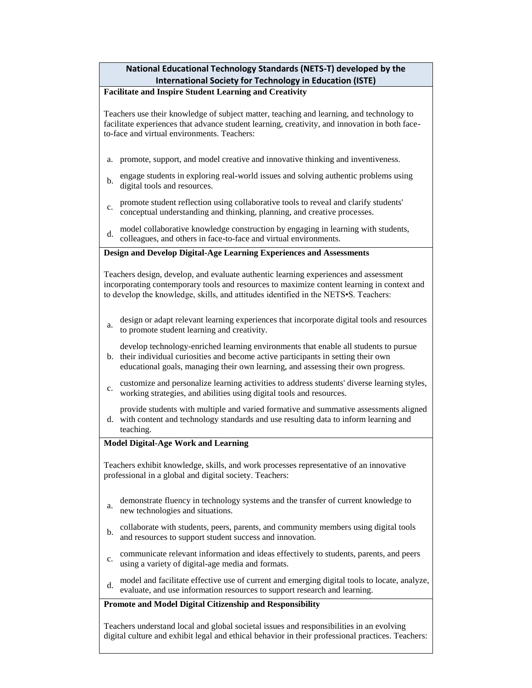# **National Educational Technology Standards (NETS-T) developed by the International Society for Technology in Education (ISTE)**

### **Facilitate and Inspire Student Learning and Creativity**

Teachers use their knowledge of subject matter, teaching and learning, and technology to facilitate experiences that advance student learning, creativity, and innovation in both faceto-face and virtual environments. Teachers:

- a. promote, support, and model creative and innovative thinking and inventiveness.
- b. engage students in exploring real-world issues and solving authentic problems using digital tools and resources.
- c. promote student reflection using collaborative tools to reveal and clarify students' conceptual understanding and thinking, planning, and creative processes.
- d. model collaborative knowledge construction by engaging in learning with students, colleagues, and others in face-to-face and virtual environments.

#### **Design and Develop Digital-Age Learning Experiences and Assessments**

Teachers design, develop, and evaluate authentic learning experiences and assessment incorporating contemporary tools and resources to maximize content learning in context and to develop the knowledge, skills, and attitudes identified in the NETS•S. Teachers:

a. design or adapt relevant learning experiences that incorporate digital tools and resources to promote student learning and creativity.

b. develop technology-enriched learning environments that enable all students to pursue their individual curiosities and become active participants in setting their own

- educational goals, managing their own learning, and assessing their own progress.
- c. customize and personalize learning activities to address students' diverse learning styles, working strategies, and abilities using digital tools and resources.

provide students with multiple and varied formative and summative assessments aligned

d. with content and technology standards and use resulting data to inform learning and teaching.

# **Model Digital-Age Work and Learning**

Teachers exhibit knowledge, skills, and work processes representative of an innovative professional in a global and digital society. Teachers:

- a. demonstrate fluency in technology systems and the transfer of current knowledge to new technologies and situations.
- b. collaborate with students, peers, parents, and community members using digital tools and resources to support student success and innovation.
- c. communicate relevant information and ideas effectively to students, parents, and peers using a variety of digital-age media and formats.
- d. model and facilitate effective use of current and emerging digital tools to locate, analyze, evaluate, and use information resources to support research and learning.

#### **Promote and Model Digital Citizenship and Responsibility**

Teachers understand local and global societal issues and responsibilities in an evolving digital culture and exhibit legal and ethical behavior in their professional practices. Teachers: